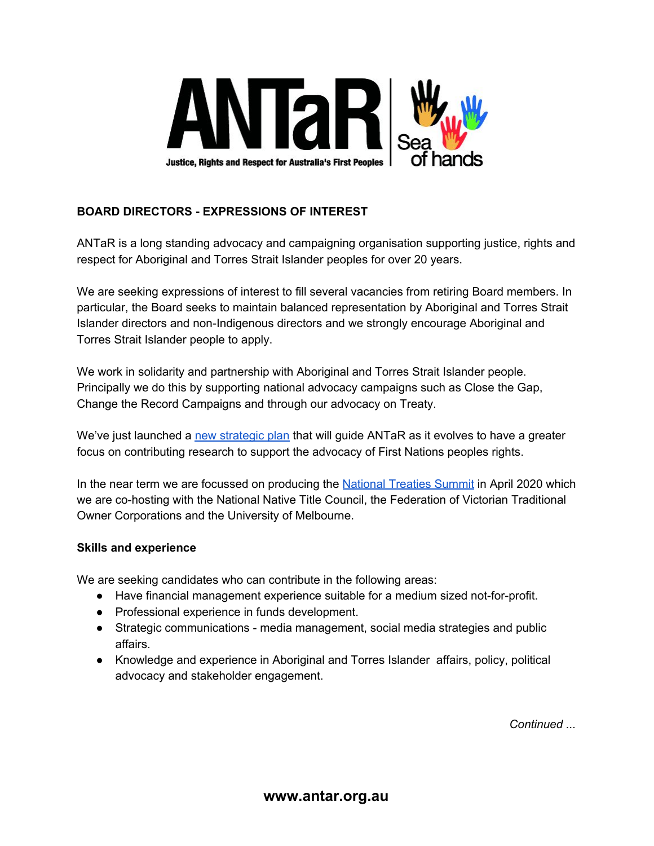

## **BOARD DIRECTORS - EXPRESSIONS OF INTEREST**

ANTaR is a long standing advocacy and campaigning organisation supporting justice, rights and respect for Aboriginal and Torres Strait Islander peoples for over 20 years.

We are seeking expressions of interest to fill several vacancies from retiring Board members. In particular, the Board seeks to maintain balanced representation by Aboriginal and Torres Strait Islander directors and non-Indigenous directors and we strongly encourage Aboriginal and Torres Strait Islander people to apply.

We work in solidarity and partnership with Aboriginal and Torres Strait Islander people. Principally we do this by supporting national advocacy campaigns such as Close the Gap, Change the Record Campaigns and through our advocacy on Treaty.

We've just launched a new [strategic](https://antar.org.au/sites/default/files/antar-strategicplan-v3.pdf) plan that will guide ANTaR as it evolves to have a greater focus on contributing research to support the advocacy of First Nations peoples rights.

In the near term we are focussed on producing the [National](https://www.nationaltreatiessummit.com.au/) Treaties Summit in April 2020 which we are co-hosting with the National Native Title Council, the Federation of Victorian Traditional Owner Corporations and the University of Melbourne.

## **Skills and experience**

We are seeking candidates who can contribute in the following areas:

- Have financial management experience suitable for a medium sized not-for-profit.
- Professional experience in funds development.
- Strategic communications media management, social media strategies and public affairs.
- Knowledge and experience in Aboriginal and Torres Islander affairs, policy, political advocacy and stakeholder engagement.

*Continued ...*